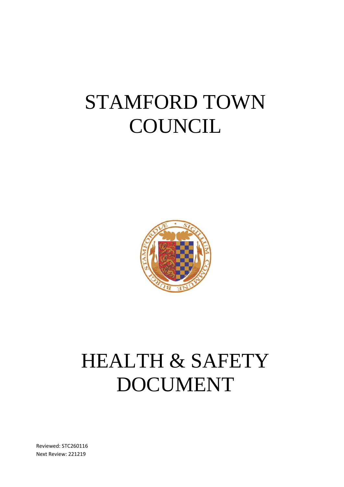# STAMFORD TOWN **COUNCIL**



# HEALTH & SAFETY DOCUMENT

Reviewed: STC260116 Next Review: 221219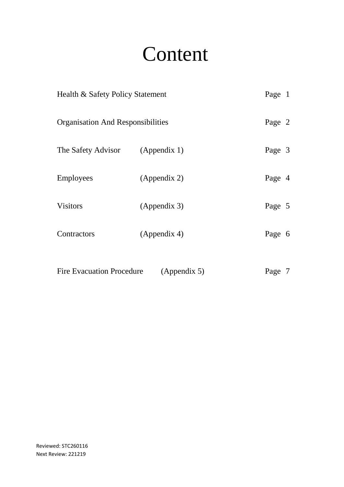# Content

| Health & Safety Policy Statement                 |              | Page 1 |  |
|--------------------------------------------------|--------------|--------|--|
| <b>Organisation And Responsibilities</b>         |              | Page 2 |  |
| The Safety Advisor (Appendix 1)                  |              | Page 3 |  |
| <b>Employees</b>                                 | (Appendix 2) | Page 4 |  |
| <b>Visitors</b>                                  | (Appendix 3) | Page 5 |  |
| Contractors                                      | (Appendix 4) | Page 6 |  |
| <b>Fire Evacuation Procedure</b><br>(Appendix 5) |              | Page 7 |  |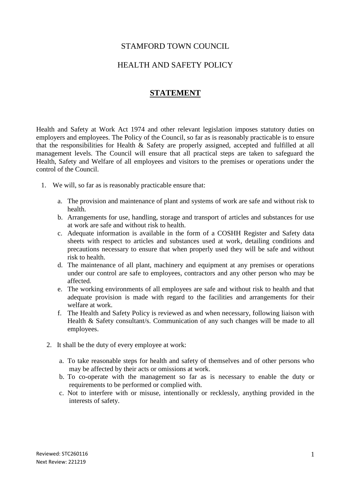#### STAMFORD TOWN COUNCIL

#### HEALTH AND SAFETY POLICY

#### **STATEMENT**

Health and Safety at Work Act 1974 and other relevant legislation imposes statutory duties on employers and employees. The Policy of the Council, so far as is reasonably practicable is to ensure that the responsibilities for Health & Safety are properly assigned, accepted and fulfilled at all management levels. The Council will ensure that all practical steps are taken to safeguard the Health, Safety and Welfare of all employees and visitors to the premises or operations under the control of the Council.

- 1. We will, so far as is reasonably practicable ensure that:
	- a. The provision and maintenance of plant and systems of work are safe and without risk to health.
	- b. Arrangements for use, handling, storage and transport of articles and substances for use at work are safe and without risk to health.
	- c. Adequate information is available in the form of a COSHH Register and Safety data sheets with respect to articles and substances used at work, detailing conditions and precautions necessary to ensure that when properly used they will be safe and without risk to health.
	- d. The maintenance of all plant, machinery and equipment at any premises or operations under our control are safe to employees, contractors and any other person who may be affected.
	- e. The working environments of all employees are safe and without risk to health and that adequate provision is made with regard to the facilities and arrangements for their welfare at work.
	- f. The Health and Safety Policy is reviewed as and when necessary, following liaison with Health & Safety consultant/s. Communication of any such changes will be made to all employees.
	- 2. It shall be the duty of every employee at work:
		- a. To take reasonable steps for health and safety of themselves and of other persons who may be affected by their acts or omissions at work.
		- b. To co-operate with the management so far as is necessary to enable the duty or requirements to be performed or complied with.
		- c. Not to interfere with or misuse, intentionally or recklessly, anything provided in the interests of safety.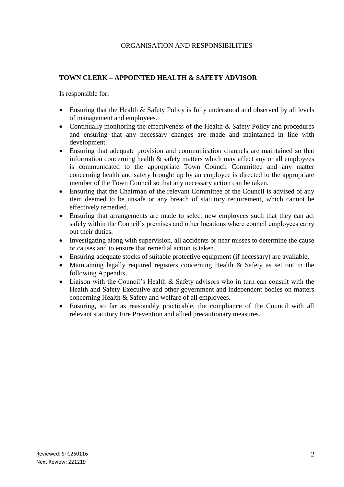#### ORGANISATION AND RESPONSIBILITIES

#### **TOWN CLERK – APPOINTED HEALTH & SAFETY ADVISOR**

Is responsible for:

- Ensuring that the Health & Safety Policy is fully understood and observed by all levels of management and employees.
- Continually monitoring the effectiveness of the Health & Safety Policy and procedures and ensuring that any necessary changes are made and maintained in line with development.
- Ensuring that adequate provision and communication channels are maintained so that information concerning health  $\&$  safety matters which may affect any or all employees is communicated to the appropriate Town Council Committee and any matter concerning health and safety brought up by an employee is directed to the appropriate member of the Town Council so that any necessary action can be taken.
- Ensuring that the Chairman of the relevant Committee of the Council is advised of any item deemed to be unsafe or any breach of statutory requirement, which cannot be effectively remedied.
- Ensuring that arrangements are made to select new employees such that they can act safely within the Council's premises and other locations where council employees carry out their duties.
- Investigating along with supervision, all accidents or near misses to determine the cause or causes and to ensure that remedial action is taken.
- Ensuring adequate stocks of suitable protective equipment (if necessary) are available.
- Maintaining legally required registers concerning Health & Safety as set out in the following Appendix.
- Liaison with the Council's Health & Safety advisors who in turn can consult with the Health and Safety Executive and other government and independent bodies on matters concerning Health & Safety and welfare of all employees.
- Ensuring, so far as reasonably practicable, the compliance of the Council with all relevant statutory Fire Prevention and allied precautionary measures.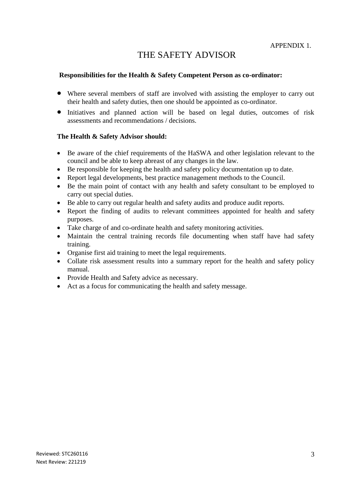# THE SAFETY ADVISOR

#### **Responsibilities for the Health & Safety Competent Person as co-ordinator:**

- Where several members of staff are involved with assisting the employer to carry out their health and safety duties, then one should be appointed as co-ordinator.
- Initiatives and planned action will be based on legal duties, outcomes of risk assessments and recommendations / decisions.

#### **The Health & Safety Advisor should:**

- Be aware of the chief requirements of the HaSWA and other legislation relevant to the council and be able to keep abreast of any changes in the law.
- Be responsible for keeping the health and safety policy documentation up to date.
- Report legal developments, best practice management methods to the Council.
- Be the main point of contact with any health and safety consultant to be employed to carry out special duties.
- Be able to carry out regular health and safety audits and produce audit reports.
- Report the finding of audits to relevant committees appointed for health and safety purposes.
- Take charge of and co-ordinate health and safety monitoring activities.
- Maintain the central training records file documenting when staff have had safety training.
- Organise first aid training to meet the legal requirements.
- Collate risk assessment results into a summary report for the health and safety policy manual.
- Provide Health and Safety advice as necessary.
- Act as a focus for communicating the health and safety message.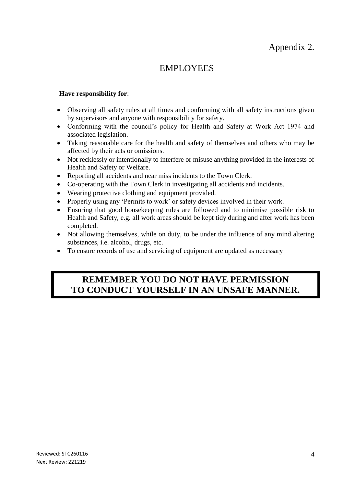## Appendix 2.

## EMPLOYEES

#### **Have responsibility for**:

- Observing all safety rules at all times and conforming with all safety instructions given by supervisors and anyone with responsibility for safety.
- Conforming with the council's policy for Health and Safety at Work Act 1974 and associated legislation.
- Taking reasonable care for the health and safety of themselves and others who may be affected by their acts or omissions.
- Not recklessly or intentionally to interfere or misuse anything provided in the interests of Health and Safety or Welfare.
- Reporting all accidents and near miss incidents to the Town Clerk.
- Co-operating with the Town Clerk in investigating all accidents and incidents.
- Wearing protective clothing and equipment provided.
- Properly using any 'Permits to work' or safety devices involved in their work.
- Ensuring that good housekeeping rules are followed and to minimise possible risk to Health and Safety, e.g. all work areas should be kept tidy during and after work has been completed.
- Not allowing themselves, while on duty, to be under the influence of any mind altering substances, i.e. alcohol, drugs, etc.
- To ensure records of use and servicing of equipment are updated as necessary

### **REMEMBER YOU DO NOT HAVE PERMISSION TO CONDUCT YOURSELF IN AN UNSAFE MANNER.**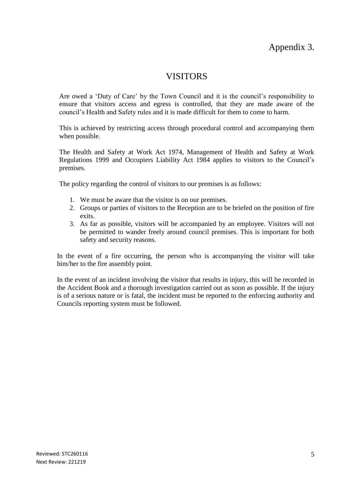## Appendix 3.

### VISITORS

Are owed a 'Duty of Care' by the Town Council and it is the council's responsibility to ensure that visitors access and egress is controlled, that they are made aware of the council's Health and Safety rules and it is made difficult for them to come to harm.

This is achieved by restricting access through procedural control and accompanying them when possible.

The Health and Safety at Work Act 1974, Management of Health and Safety at Work Regulations 1999 and Occupiers Liability Act 1984 applies to visitors to the Council's premises.

The policy regarding the control of visitors to our premises is as follows:

- 1. We must be aware that the visitor is on our premises.
- 2. Groups or parties of visitors to the Reception are to be briefed on the position of fire exits.
- 3. As far as possible, visitors will be accompanied by an employee. Visitors will not be permitted to wander freely around council premises. This is important for both safety and security reasons.

In the event of a fire occurring, the person who is accompanying the visitor will take him/her to the fire assembly point.

In the event of an incident involving the visitor that results in injury, this will be recorded in the Accident Book and a thorough investigation carried out as soon as possible. If the injury is of a serious nature or is fatal, the incident must be reported to the enforcing authority and Councils reporting system must be followed.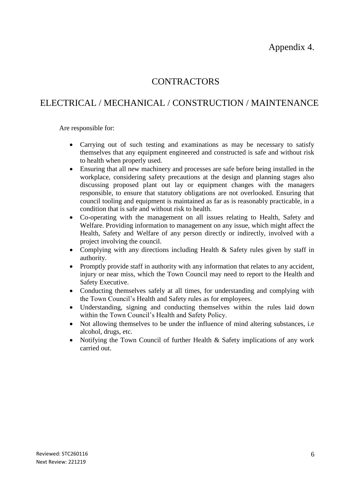Appendix 4.

## **CONTRACTORS**

## ELECTRICAL / MECHANICAL / CONSTRUCTION / MAINTENANCE

Are responsible for:

- Carrying out of such testing and examinations as may be necessary to satisfy themselves that any equipment engineered and constructed is safe and without risk to health when properly used.
- Ensuring that all new machinery and processes are safe before being installed in the workplace, considering safety precautions at the design and planning stages also discussing proposed plant out lay or equipment changes with the managers responsible, to ensure that statutory obligations are not overlooked. Ensuring that council tooling and equipment is maintained as far as is reasonably practicable, in a condition that is safe and without risk to health.
- Co-operating with the management on all issues relating to Health, Safety and Welfare. Providing information to management on any issue, which might affect the Health, Safety and Welfare of any person directly or indirectly, involved with a project involving the council.
- Complying with any directions including Health & Safety rules given by staff in authority.
- Promptly provide staff in authority with any information that relates to any accident, injury or near miss, which the Town Council may need to report to the Health and Safety Executive.
- Conducting themselves safely at all times, for understanding and complying with the Town Council's Health and Safety rules as for employees.
- Understanding, signing and conducting themselves within the rules laid down within the Town Council's Health and Safety Policy.
- Not allowing themselves to be under the influence of mind altering substances, i.e alcohol, drugs, etc.
- Notifying the Town Council of further Health & Safety implications of any work carried out.